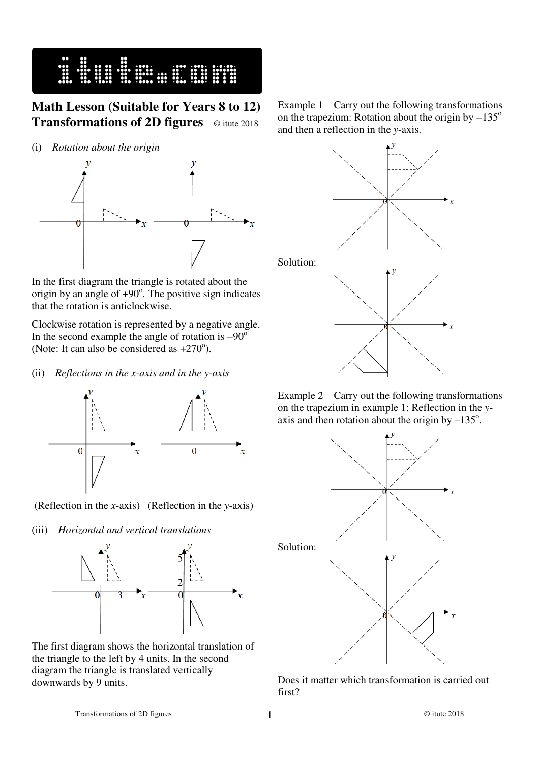

## **Math Lesson (Suitable for Years 8 to 12) Transformations of 2D figures** © itute 2018

(i) *Rotation about the origin* 



In the first diagram the triangle is rotated about the origin by an angle of  $+90^\circ$ . The positive sign indicates that the rotation is anticlockwise.

Clockwise rotation is represented by a negative angle. In the second example the angle of rotation is  $-90^\circ$ (Note: It can also be considered as  $+270^{\circ}$ ).

(ii) *Reflections in the x-axis and in the y-axis*



(Reflection in the *x*-axis) (Reflection in the *y*-axis)

(iii) *Horizontal and vertical translations*



The first diagram shows the horizontal translation of the triangle to the left by 4 units. In the second diagram the triangle is translated vertically downwards by 9 units.

Example 1 Carry out the following transformations on the trapezium: Rotation about the origin by  $-135^\circ$ and then a reflection in the *y*-axis.



Example 2 Carry out the following transformations on the trapezium in example 1: Reflection in the *y*axis and then rotation about the origin by  $-135^\circ$ .



Does it matter which transformation is carried out first?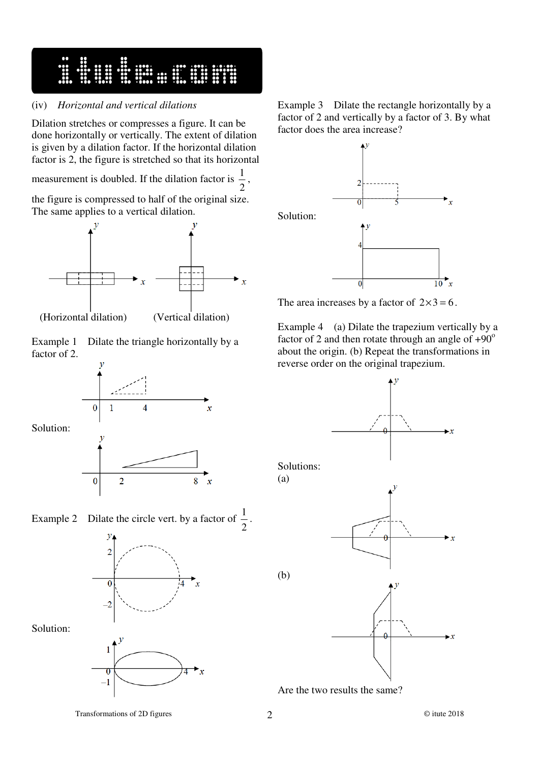16 Superintent

## (iv) *Horizontal and vertical dilations*

Dilation stretches or compresses a figure. It can be done horizontally or vertically. The extent of dilation is given by a dilation factor. If the horizontal dilation factor is 2, the figure is stretched so that its horizontal

measurement is doubled. If the dilation factor is 2  $\frac{1}{2}$ ,

the figure is compressed to half of the original size. The same applies to a vertical dilation.



(Horizontal dilation) (Vertical dilation)

8

 $\mathbf{x}$ 

Example 1 Dilate the triangle horizontally by a factor of 2.





 $\overline{2}$ 

 $\overline{0}$ 



Solution:

Solution:



Example 3 Dilate the rectangle horizontally by a factor of 2 and vertically by a factor of 3. By what factor does the area increase?



The area increases by a factor of  $2 \times 3 = 6$ .

Example 4 (a) Dilate the trapezium vertically by a factor of 2 and then rotate through an angle of  $+90^\circ$ about the origin. (b) Repeat the transformations in reverse order on the original trapezium.



Are the two results the same?

Transformations of 2D figures 2 © itute 2018